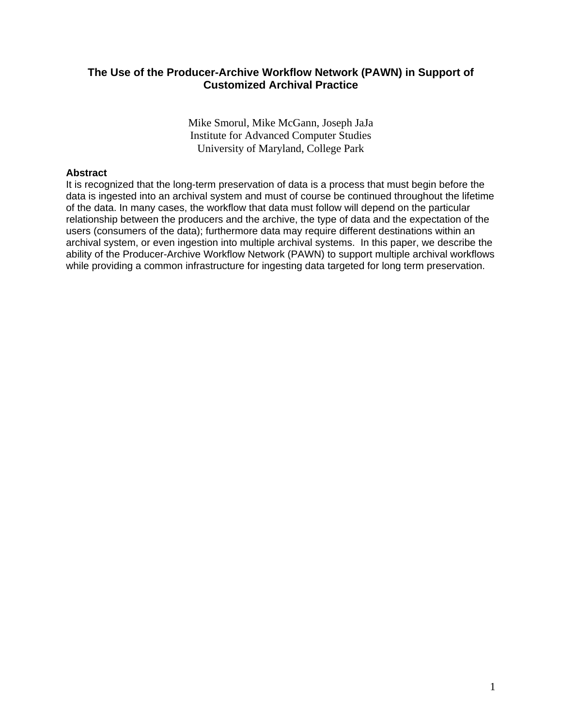# **The Use of the Producer-Archive Workflow Network (PAWN) in Support of Customized Archival Practice**

Mike Smorul, Mike McGann, Joseph JaJa Institute for Advanced Computer Studies University of Maryland, College Park

## **Abstract**

It is recognized that the long-term preservation of data is a process that must begin before the data is ingested into an archival system and must of course be continued throughout the lifetime of the data. In many cases, the workflow that data must follow will depend on the particular relationship between the producers and the archive, the type of data and the expectation of the users (consumers of the data); furthermore data may require different destinations within an archival system, or even ingestion into multiple archival systems. In this paper, we describe the ability of the Producer-Archive Workflow Network (PAWN) to support multiple archival workflows while providing a common infrastructure for ingesting data targeted for long term preservation.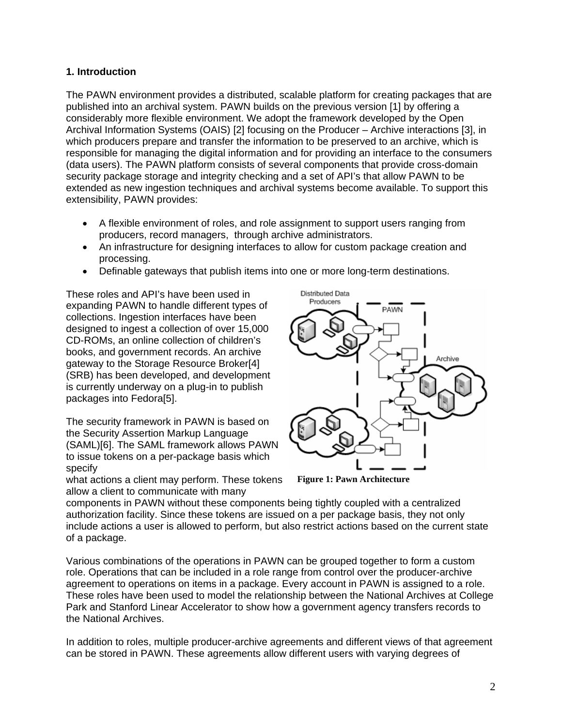## **1. Introduction**

The PAWN environment provides a distributed, scalable platform for creating packages that are published into an archival system. PAWN builds on the previous version [1] by offering a considerably more flexible environment. We adopt the framework developed by the Open Archival Information Systems (OAIS) [2] focusing on the Producer – Archive interactions [3], in which producers prepare and transfer the information to be preserved to an archive, which is responsible for managing the digital information and for providing an interface to the consumers (data users). The PAWN platform consists of several components that provide cross-domain security package storage and integrity checking and a set of API's that allow PAWN to be extended as new ingestion techniques and archival systems become available. To support this extensibility, PAWN provides:

- A flexible environment of roles, and role assignment to support users ranging from producers, record managers, through archive administrators.
- An infrastructure for designing interfaces to allow for custom package creation and processing.
- Definable gateways that publish items into one or more long-term destinations.

These roles and API's have been used in expanding PAWN to handle different types of collections. Ingestion interfaces have been designed to ingest a collection of over 15,000 CD-ROMs, an online collection of children's books, and government records. An archive gateway to the Storage Resource Broker[4] (SRB) has been developed, and development is currently underway on a plug-in to publish packages into Fedora[5].

The security framework in PAWN is based on the Security Assertion Markup Language (SAML)[6]. The SAML framework allows PAWN to issue tokens on a per-package basis which specify

what actions a client may perform. These tokens allow a client to communicate with many



**Figure 1: Pawn Architecture** 

components in PAWN without these components being tightly coupled with a centralized authorization facility. Since these tokens are issued on a per package basis, they not only include actions a user is allowed to perform, but also restrict actions based on the current state of a package.

Various combinations of the operations in PAWN can be grouped together to form a custom role. Operations that can be included in a role range from control over the producer-archive agreement to operations on items in a package. Every account in PAWN is assigned to a role. These roles have been used to model the relationship between the National Archives at College Park and Stanford Linear Accelerator to show how a government agency transfers records to the National Archives.

In addition to roles, multiple producer-archive agreements and different views of that agreement can be stored in PAWN. These agreements allow different users with varying degrees of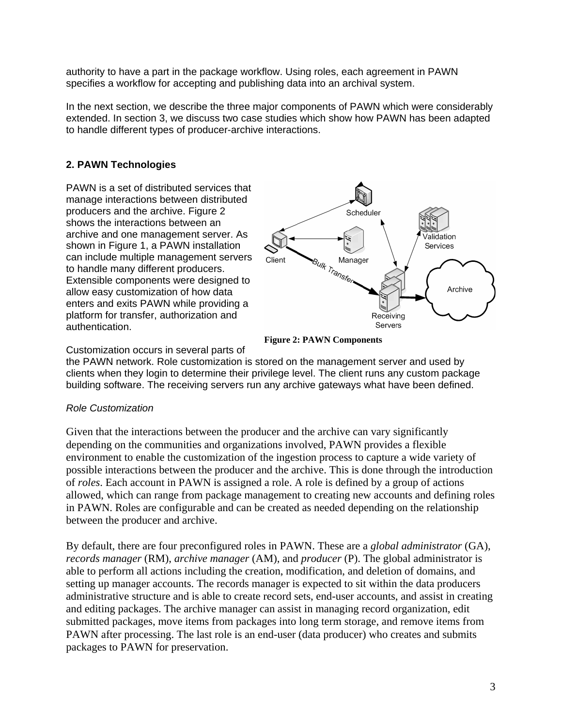authority to have a part in the package workflow. Using roles, each agreement in PAWN specifies a workflow for accepting and publishing data into an archival system.

In the next section, we describe the three major components of PAWN which were considerably extended. In section 3, we discuss two case studies which show how PAWN has been adapted to handle different types of producer-archive interactions.

# **2. PAWN Technologies**

PAWN is a set of distributed services that manage interactions between distributed producers and the archive. Figure 2 shows the interactions between an archive and one management server. As shown in Figure 1, a PAWN installation can include multiple management servers to handle many different producers. Extensible components were designed to allow easy customization of how data enters and exits PAWN while providing a platform for transfer, authorization and authentication.



**Figure 2: PAWN Components**

Customization occurs in several parts of

the PAWN network. Role customization is stored on the management server and used by clients when they login to determine their privilege level. The client runs any custom package building software. The receiving servers run any archive gateways what have been defined.

# *Role Customization*

Given that the interactions between the producer and the archive can vary significantly depending on the communities and organizations involved, PAWN provides a flexible environment to enable the customization of the ingestion process to capture a wide variety of possible interactions between the producer and the archive. This is done through the introduction of *roles*. Each account in PAWN is assigned a role. A role is defined by a group of actions allowed, which can range from package management to creating new accounts and defining roles in PAWN. Roles are configurable and can be created as needed depending on the relationship between the producer and archive.

By default, there are four preconfigured roles in PAWN. These are a *global administrator* (GA), *records manager* (RM), *archive manager* (AM), and *producer* (P). The global administrator is able to perform all actions including the creation, modification, and deletion of domains, and setting up manager accounts. The records manager is expected to sit within the data producers administrative structure and is able to create record sets, end-user accounts, and assist in creating and editing packages. The archive manager can assist in managing record organization, edit submitted packages, move items from packages into long term storage, and remove items from PAWN after processing. The last role is an end-user (data producer) who creates and submits packages to PAWN for preservation.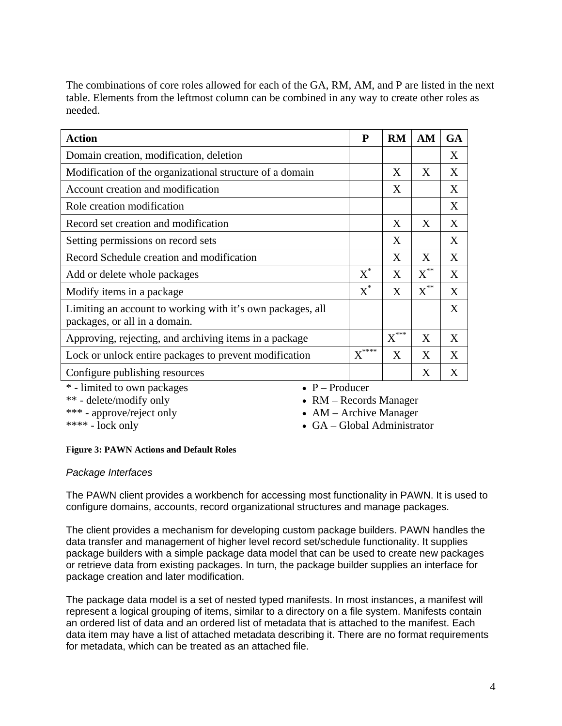The combinations of core roles allowed for each of the GA, RM, AM, and P are listed in the next table. Elements from the leftmost column can be combined in any way to create other roles as needed.

| <b>Action</b>                                                                               | ${\bf P}$                       | <b>RM</b>                     | AM             | <b>GA</b> |  |
|---------------------------------------------------------------------------------------------|---------------------------------|-------------------------------|----------------|-----------|--|
| Domain creation, modification, deletion                                                     |                                 |                               |                | X         |  |
| Modification of the organizational structure of a domain                                    |                                 | X                             | X              | X         |  |
| Account creation and modification                                                           |                                 | X                             |                | X         |  |
| Role creation modification                                                                  |                                 |                               |                | X         |  |
| Record set creation and modification                                                        |                                 | X                             | X              | X         |  |
| Setting permissions on record sets                                                          |                                 | X                             |                | X         |  |
| Record Schedule creation and modification                                                   |                                 | X                             | X              | X         |  |
| Add or delete whole packages                                                                | $X^*$                           | X                             | $X^{\ast\ast}$ | X         |  |
| Modify items in a package                                                                   | $X^*$                           | X                             | $X^{**}$       | X         |  |
| Limiting an account to working with it's own packages, all<br>packages, or all in a domain. |                                 |                               |                | X         |  |
| Approving, rejecting, and archiving items in a package                                      |                                 | $\overline{\mathrm{X}}^{***}$ | X              | X         |  |
| Lock or unlock entire packages to prevent modification                                      | $\textbf{X}^{\ast\ast\ast\ast}$ | X                             | X              | X         |  |
| Configure publishing resources                                                              |                                 |                               | X              | X         |  |
| $*$ limited to our neckage<br>$\cdot$ D. Drodugar                                           |                                 |                               |                |           |  |

- limited to own packages

\*\* - delete/modify only

\*\*\* - approve/reject only  $***$  - lock only

•  $P -$ Producer

• RM – Records Manager

• AM – Archive Manager

• GA – Global Administrator

### **Figure 3: PAWN Actions and Default Roles**

# *Package Interfaces*

The PAWN client provides a workbench for accessing most functionality in PAWN. It is used to configure domains, accounts, record organizational structures and manage packages.

The client provides a mechanism for developing custom package builders. PAWN handles the data transfer and management of higher level record set/schedule functionality. It supplies package builders with a simple package data model that can be used to create new packages or retrieve data from existing packages. In turn, the package builder supplies an interface for package creation and later modification.

The package data model is a set of nested typed manifests. In most instances, a manifest will represent a logical grouping of items, similar to a directory on a file system. Manifests contain an ordered list of data and an ordered list of metadata that is attached to the manifest. Each data item may have a list of attached metadata describing it. There are no format requirements for metadata, which can be treated as an attached file.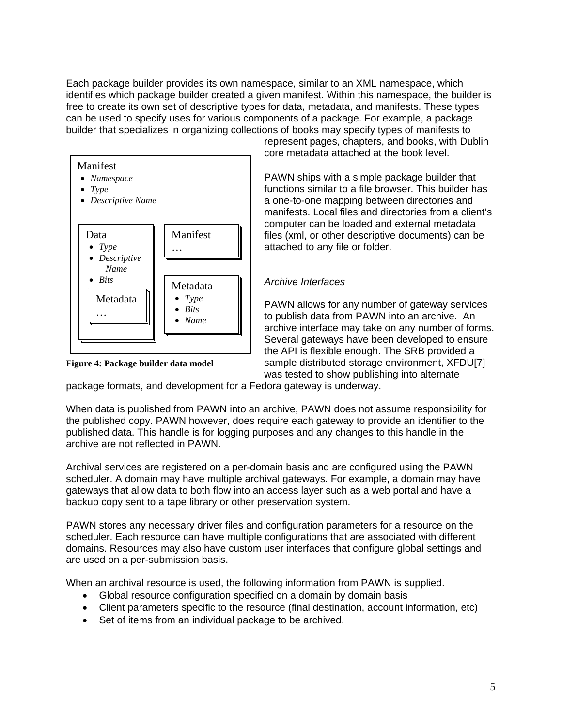Each package builder provides its own namespace, similar to an XML namespace, which identifies which package builder created a given manifest. Within this namespace, the builder is free to create its own set of descriptive types for data, metadata, and manifests. These types can be used to specify uses for various components of a package. For example, a package builder that specializes in organizing collections of books may specify types of manifests to



**Figure 4: Package builder data model** 

represent pages, chapters, and books, with Dublin core metadata attached at the book level.

PAWN ships with a simple package builder that functions similar to a file browser. This builder has a one-to-one mapping between directories and manifests. Local files and directories from a client's computer can be loaded and external metadata files (xml, or other descriptive documents) can be attached to any file or folder.

#### *Archive Interfaces*

PAWN allows for any number of gateway services to publish data from PAWN into an archive. An archive interface may take on any number of forms. Several gateways have been developed to ensure the API is flexible enough. The SRB provided a sample distributed storage environment, XFDU[7] was tested to show publishing into alternate

package formats, and development for a Fedora gateway is underway.

When data is published from PAWN into an archive, PAWN does not assume responsibility for the published copy. PAWN however, does require each gateway to provide an identifier to the published data. This handle is for logging purposes and any changes to this handle in the archive are not reflected in PAWN.

Archival services are registered on a per-domain basis and are configured using the PAWN scheduler. A domain may have multiple archival gateways. For example, a domain may have gateways that allow data to both flow into an access layer such as a web portal and have a backup copy sent to a tape library or other preservation system.

PAWN stores any necessary driver files and configuration parameters for a resource on the scheduler. Each resource can have multiple configurations that are associated with different domains. Resources may also have custom user interfaces that configure global settings and are used on a per-submission basis.

When an archival resource is used, the following information from PAWN is supplied.

- Global resource configuration specified on a domain by domain basis
- Client parameters specific to the resource (final destination, account information, etc)
- Set of items from an individual package to be archived.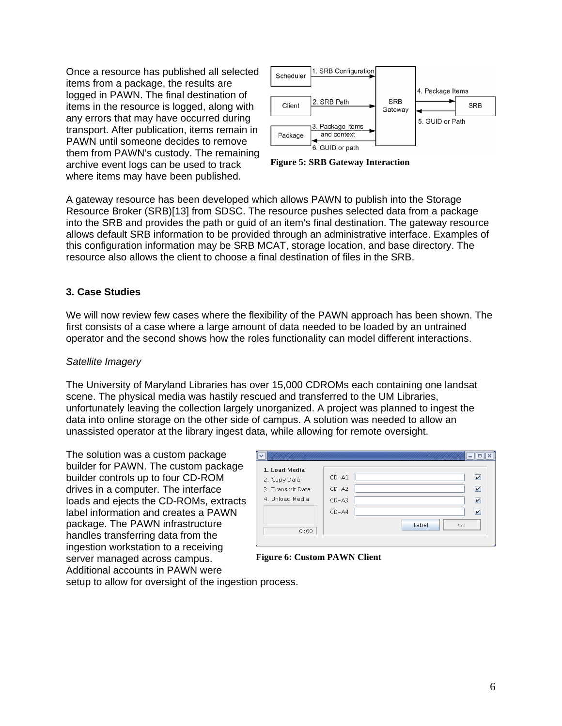Once a resource has published all selected items from a package, the results are logged in PAWN. The final destination of items in the resource is logged, along with any errors that may have occurred during transport. After publication, items remain in PAWN until someone decides to remove them from PAWN's custody. The remaining archive event logs can be used to track where items may have been published.



**Figure 5: SRB Gateway Interaction**

A gateway resource has been developed which allows PAWN to publish into the Storage Resource Broker (SRB)[13] from SDSC. The resource pushes selected data from a package into the SRB and provides the path or guid of an item's final destination. The gateway resource allows default SRB information to be provided through an administrative interface. Examples of this configuration information may be SRB MCAT, storage location, and base directory. The resource also allows the client to choose a final destination of files in the SRB.

#### **3. Case Studies**

We will now review few cases where the flexibility of the PAWN approach has been shown. The first consists of a case where a large amount of data needed to be loaded by an untrained operator and the second shows how the roles functionality can model different interactions.

#### *Satellite Imagery*

The University of Maryland Libraries has over 15,000 CDROMs each containing one landsat scene. The physical media was hastily rescued and transferred to the UM Libraries, unfortunately leaving the collection largely unorganized. A project was planned to ingest the data into online storage on the other side of campus. A solution was needed to allow an unassisted operator at the library ingest data, while allowing for remote oversight.

The solution was a custom package builder for PAWN. The custom package builder controls up to four CD-ROM drives in a computer. The interface loads and ejects the CD-ROMs, extracts label information and creates a PAWN package. The PAWN infrastructure handles transferring data from the ingestion workstation to a receiving server managed across campus. Additional accounts in PAWN were

| 1. Load Media    | $CD-A1$<br>v            |
|------------------|-------------------------|
| 2. Copy Data     |                         |
| 3. Transmit Data | $CD-AZ$<br>v            |
| 4. Unload Media  | $CD-AS$<br>$\mathbf{v}$ |
|                  | $CD-AA$<br>v            |
| 0:00             | Label<br>Go             |
|                  |                         |

**Figure 6: Custom PAWN Client**

setup to allow for oversight of the ingestion process.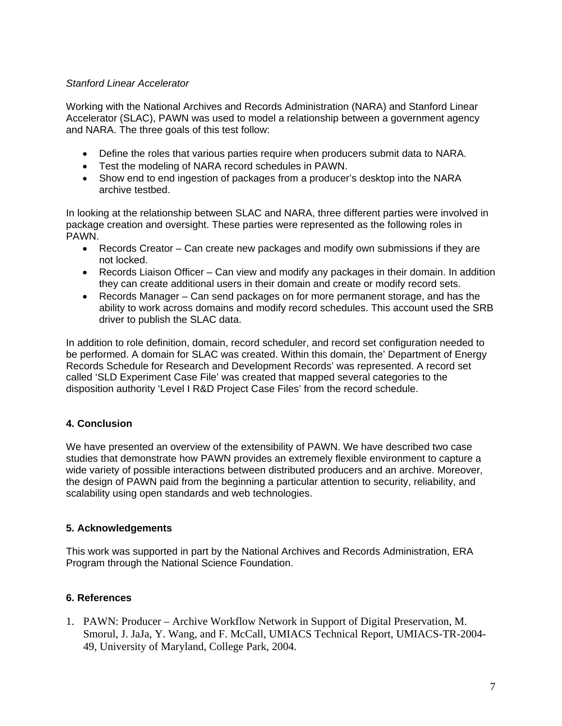#### *Stanford Linear Accelerator*

Working with the National Archives and Records Administration (NARA) and Stanford Linear Accelerator (SLAC), PAWN was used to model a relationship between a government agency and NARA. The three goals of this test follow:

- Define the roles that various parties require when producers submit data to NARA.
- Test the modeling of NARA record schedules in PAWN.
- Show end to end ingestion of packages from a producer's desktop into the NARA archive testbed.

In looking at the relationship between SLAC and NARA, three different parties were involved in package creation and oversight. These parties were represented as the following roles in PAWN.

- Records Creator Can create new packages and modify own submissions if they are not locked.
- Records Liaison Officer Can view and modify any packages in their domain. In addition they can create additional users in their domain and create or modify record sets.
- Records Manager Can send packages on for more permanent storage, and has the ability to work across domains and modify record schedules. This account used the SRB driver to publish the SLAC data.

In addition to role definition, domain, record scheduler, and record set configuration needed to be performed. A domain for SLAC was created. Within this domain, the' Department of Energy Records Schedule for Research and Development Records' was represented. A record set called 'SLD Experiment Case File' was created that mapped several categories to the disposition authority 'Level I R&D Project Case Files' from the record schedule.

### **4. Conclusion**

We have presented an overview of the extensibility of PAWN. We have described two case studies that demonstrate how PAWN provides an extremely flexible environment to capture a wide variety of possible interactions between distributed producers and an archive. Moreover, the design of PAWN paid from the beginning a particular attention to security, reliability, and scalability using open standards and web technologies.

### **5. Acknowledgements**

This work was supported in part by the National Archives and Records Administration, ERA Program through the National Science Foundation.

### **6. References**

1. PAWN: Producer – Archive Workflow Network in Support of Digital Preservation, M. Smorul, J. JaJa, Y. Wang, and F. McCall, UMIACS Technical Report, UMIACS-TR-2004- 49, University of Maryland, College Park, 2004.